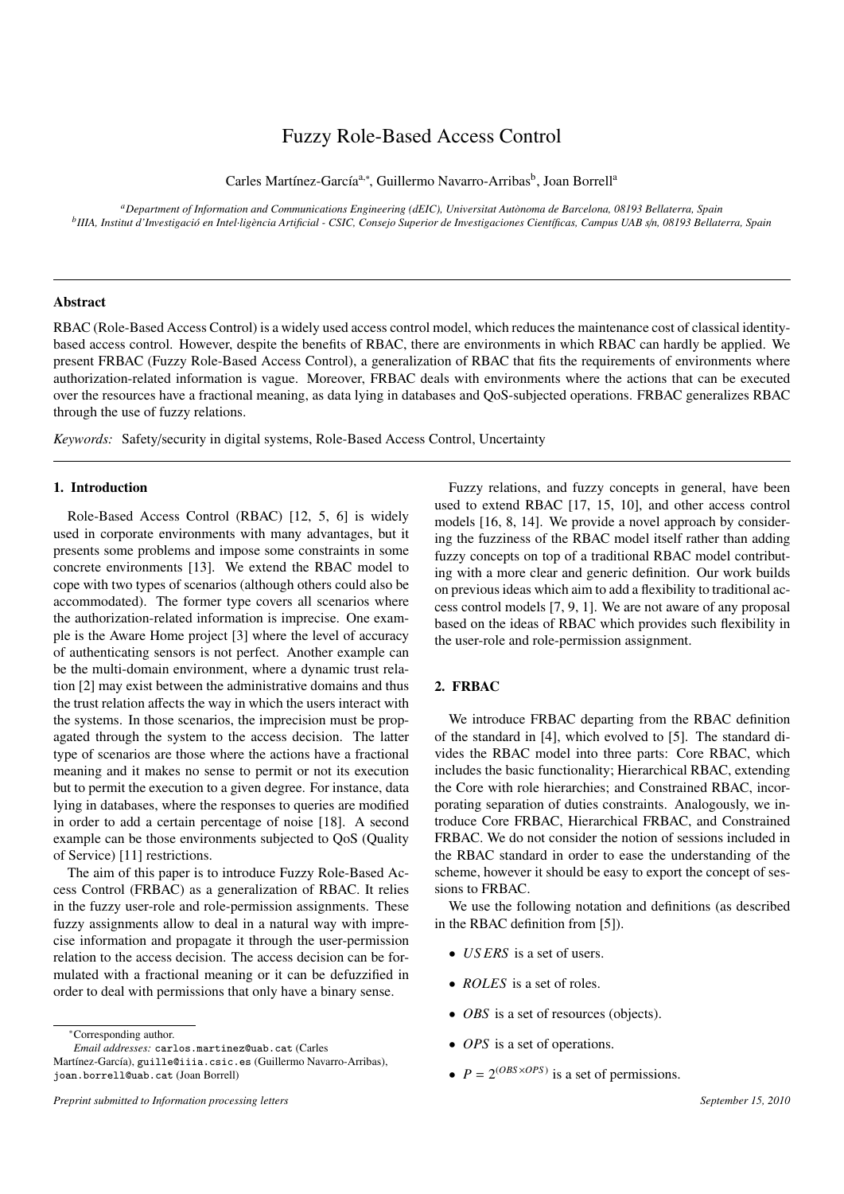# Fuzzy Role-Based Access Control

Carles Martínez-García<sup>a,∗</sup>, Guillermo Navarro-Arribas<sup>b</sup>, Joan Borrell<sup>a</sup>

*<sup>a</sup>Department of Information and Communications Engineering (dEIC), Universitat Aut `onoma de Barcelona, 08193 Bellaterra, Spain b IIIA, Institut d'Investigaci ´o en Intel*·*lig`encia Artificial - CSIC, Consejo Superior de Investigaciones Cient´ıficas, Campus UAB s*/*n, 08193 Bellaterra, Spain*

## Abstract

RBAC (Role-Based Access Control) is a widely used access control model, which reduces the maintenance cost of classical identitybased access control. However, despite the benefits of RBAC, there are environments in which RBAC can hardly be applied. We present FRBAC (Fuzzy Role-Based Access Control), a generalization of RBAC that fits the requirements of environments where authorization-related information is vague. Moreover, FRBAC deals with environments where the actions that can be executed over the resources have a fractional meaning, as data lying in databases and QoS-subjected operations. FRBAC generalizes RBAC through the use of fuzzy relations.

*Keywords:* Safety/security in digital systems, Role-Based Access Control, Uncertainty

# 1. Introduction

Role-Based Access Control (RBAC) [12, 5, 6] is widely used in corporate environments with many advantages, but it presents some problems and impose some constraints in some concrete environments [13]. We extend the RBAC model to cope with two types of scenarios (although others could also be accommodated). The former type covers all scenarios where the authorization-related information is imprecise. One example is the Aware Home project [3] where the level of accuracy of authenticating sensors is not perfect. Another example can be the multi-domain environment, where a dynamic trust relation [2] may exist between the administrative domains and thus the trust relation affects the way in which the users interact with the systems. In those scenarios, the imprecision must be propagated through the system to the access decision. The latter type of scenarios are those where the actions have a fractional meaning and it makes no sense to permit or not its execution but to permit the execution to a given degree. For instance, data lying in databases, where the responses to queries are modified in order to add a certain percentage of noise [18]. A second example can be those environments subjected to QoS (Quality of Service) [11] restrictions.

The aim of this paper is to introduce Fuzzy Role-Based Access Control (FRBAC) as a generalization of RBAC. It relies in the fuzzy user-role and role-permission assignments. These fuzzy assignments allow to deal in a natural way with imprecise information and propagate it through the user-permission relation to the access decision. The access decision can be formulated with a fractional meaning or it can be defuzzified in order to deal with permissions that only have a binary sense.

*Email addresses:* carlos.martinez@uab.cat (Carles

Fuzzy relations, and fuzzy concepts in general, have been used to extend RBAC [17, 15, 10], and other access control models [16, 8, 14]. We provide a novel approach by considering the fuzziness of the RBAC model itself rather than adding fuzzy concepts on top of a traditional RBAC model contributing with a more clear and generic definition. Our work builds on previous ideas which aim to add a flexibility to traditional access control models [7, 9, 1]. We are not aware of any proposal based on the ideas of RBAC which provides such flexibility in the user-role and role-permission assignment.

# 2. FRBAC

We introduce FRBAC departing from the RBAC definition of the standard in [4], which evolved to [5]. The standard divides the RBAC model into three parts: Core RBAC, which includes the basic functionality; Hierarchical RBAC, extending the Core with role hierarchies; and Constrained RBAC, incorporating separation of duties constraints. Analogously, we introduce Core FRBAC, Hierarchical FRBAC, and Constrained FRBAC. We do not consider the notion of sessions included in the RBAC standard in order to ease the understanding of the scheme, however it should be easy to export the concept of sessions to FRBAC.

We use the following notation and definitions (as described in the RBAC definition from [5]).

- *US ERS* is a set of users.
- *ROLES* is a set of roles.
- *OBS* is a set of resources (objects).
- *OPS* is a set of operations.
- $P = 2^{(OBS \times OPS)}$  is a set of permissions.

<sup>∗</sup>Corresponding author.

Martínez-García), guille@iiia.csic.es (Guillermo Navarro-Arribas), joan.borrell@uab.cat (Joan Borrell)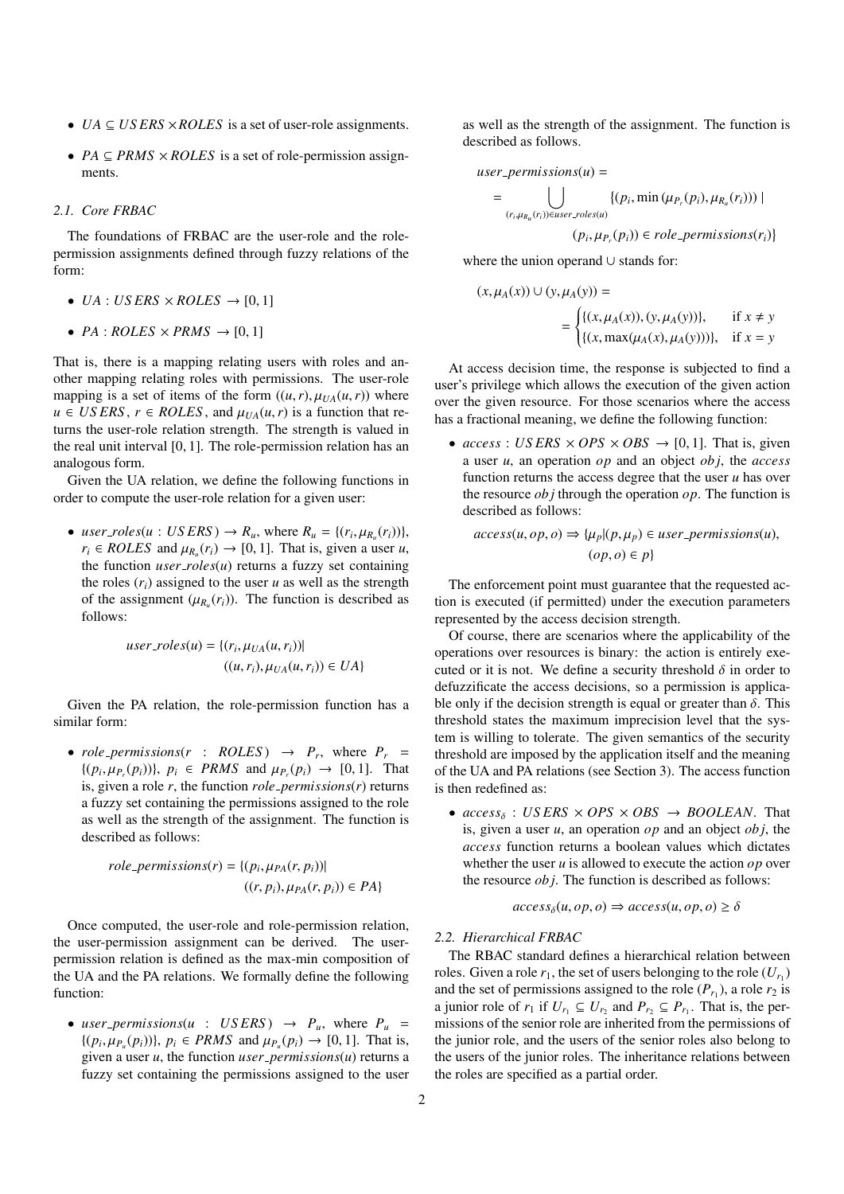- *UA* ⊆ *US ERS* ×*ROLES* is a set of user-role assignments.
- *PA* ⊆ *PRMS* × *ROLES* is a set of role-permission assignments.

# *2.1. Core FRBAC*

The foundations of FRBAC are the user-role and the rolepermission assignments defined through fuzzy relations of the form:

- *UA* : *US ERS*  $\times$  *ROLES*  $\rightarrow$  [0, 1]
- $PA : ROLES \times PRMS \rightarrow [0, 1]$

That is, there is a mapping relating users with roles and another mapping relating roles with permissions. The user-role mapping is a set of items of the form  $((u, r), \mu_{UA}(u, r))$  where  $u \in \text{USERS}, r \in \text{ROLES}, \text{ and } \mu_{\text{UA}}(u, r) \text{ is a function that re-}$ turns the user-role relation strength. The strength is valued in the real unit interval [0, 1]. The role-permission relation has an analogous form.

Given the UA relation, we define the following functions in order to compute the user-role relation for a given user:

• *user\_roles*( $u : USERS$ )  $\rightarrow R_u$ , where  $R_u = \{(r_i, \mu_{R_u}(r_i))\},$  $u$ *ser\_roles*( $u : U$ *S*  $E$ *KS*)  $\rightarrow$   $K_u$ , where  $K_u = \{(r_i, \mu_{R_u}(r_i))\}$ ,<br>  $r_i \in ROLES$  and  $\mu_{R_u}(r_i) \rightarrow [0, 1]$ . That is, given a user  $u$ ,<br>
the function *user roles*( $u$ ) returns a fuzzy set containing the function  $user\_roles(u)$  returns a fuzzy set containing the roles  $(r_i)$  assigned to the user  $u$  as well as the strength of the assignment  $(\mu_{R_u}(r_i))$ . The function is described as follows: follows:

$$
user\_roles(u) = \{(r_i, \mu_{UA}(u, r_i)) | (u, r_i), \mu_{UA}(u, r_i)) \in UA\}
$$

Given the PA relation, the role-permission function has a similar form:

• *role\_permissions(r* : *ROLES*)  $\rightarrow$  *P<sub>r</sub>*, where  $P_r$  =  $\{(p_i, \mu_{P_i}(p_i))\}, p_i \in PRMS \text{ and } \mu_{P_i}(p_i) \rightarrow [0, 1].$  That is given a role *r* the function *role nermissions(r)* returns  $\iota(p_i, \mu_{P_i}(p_i))$ ;  $p_i \in PRM3$  and  $\mu_{P_i}(p_i) \rightarrow [0, 1]$ . That is, given a role *r*, the function *role\_permissions(r)* returns a fuzzy set containing the permissions assigned to the role as well as the strength of the assignment. The function is described as follows:

$$
role_ \textit{permissions}(r) = \{ (p_i, \mu_{PA}(r, p_i)) | (r, p_i), \mu_{PA}(r, p_i)) \in PA \}
$$

Once computed, the user-role and role-permission relation, the user-permission assignment can be derived. The userpermission relation is defined as the max-min composition of the UA and the PA relations. We formally define the following function:

• *user-permissions*( $u : USERS$ )  $\rightarrow P_u$ , where  $P_u$  =  $\{(p_i, \mu_{P_u}(p_i))\}, p_i \in PRMS \text{ and } \mu_{P_u}(p_i) \to [0, 1]. \text{ That is,}$ <br>given a user *u* the function *user nermissions(u)* returns a given a user *u*, the function *user permissions*(*u*) returns a fuzzy set containing the permissions assigned to the user as well as the strength of the assignment. The function is described as follows.

$$
user-permissions(u) = \bigcup_{(r_i, \mu_{R_u}(r_i)) \in user\_roles(u)} \{ (p_i, \min(\mu_{P_r}(p_i), \mu_{R_u}(r_i))) \mid (p_i, \mu_{P_r}(p_i)) \in role\_permissions(r_i) \}
$$

where the union operand ∪ stands for:

$$
(x, \mu_A(x)) \cup (y, \mu_A(y)) =
$$
  
= { $\{(x, \mu_A(x)), (y, \mu_A(y))\},$  if  $x \neq y$   
{ $\{(x, \max(\mu_A(x), \mu_A(y)))\},$  if  $x = y$ 

At access decision time, the response is subjected to find a user's privilege which allows the execution of the given action over the given resource. For those scenarios where the access has a fractional meaning, we define the following function:

•  $access: USERS \times OPS \times OBS \rightarrow [0, 1]$ . That is, given a user *u*, an operation *op* and an object *ob j*, the *access* function returns the access degree that the user *u* has over the resource *ob j* through the operation *op*. The function is described as follows:

$$
access(u, op, o) \Rightarrow \{\mu_p | (p, \mu_p) \in user\_permissions(u),
$$

$$
(op, o) \in p\}
$$

The enforcement point must guarantee that the requested action is executed (if permitted) under the execution parameters represented by the access decision strength.

Of course, there are scenarios where the applicability of the operations over resources is binary: the action is entirely executed or it is not. We define a security threshold  $\delta$  in order to defuzzificate the access decisions, so a permission is applicable only if the decision strength is equal or greater than  $\delta$ . This threshold states the maximum imprecision level that the system is willing to tolerate. The given semantics of the security threshold are imposed by the application itself and the meaning of the UA and PA relations (see Section 3). The access function is then redefined as:

•  $access_{\delta}$  : *US ERS*  $\times$  *OPS*  $\times$  *OBS*  $\rightarrow$  *BOOLEAN*. That is, given a user *u*, an operation *op* and an object *ob j*, the *access* function returns a boolean values which dictates whether the user *u* is allowed to execute the action *op* over the resource *ob j*. The function is described as follows:

$$
access_{\delta}(u, op, o) \Rightarrow access(u, op, o) \ge \delta
$$

# *2.2. Hierarchical FRBAC*

The RBAC standard defines a hierarchical relation between roles. Given a role  $r_1$ , the set of users belonging to the role  $(U_{r_1})$ and the set of permissions assigned to the role  $(P_{r_1})$ , a role  $r_2$  is a junior role of  $r_1$  if  $U_{r_1} \subseteq U_{r_2}$  and  $P_{r_2} \subseteq P_{r_1}$ . That is, the permissions of the senior role are inherited from the permissions of the junior role, and the users of the senior roles also belong to the users of the junior roles. The inheritance relations between the roles are specified as a partial order.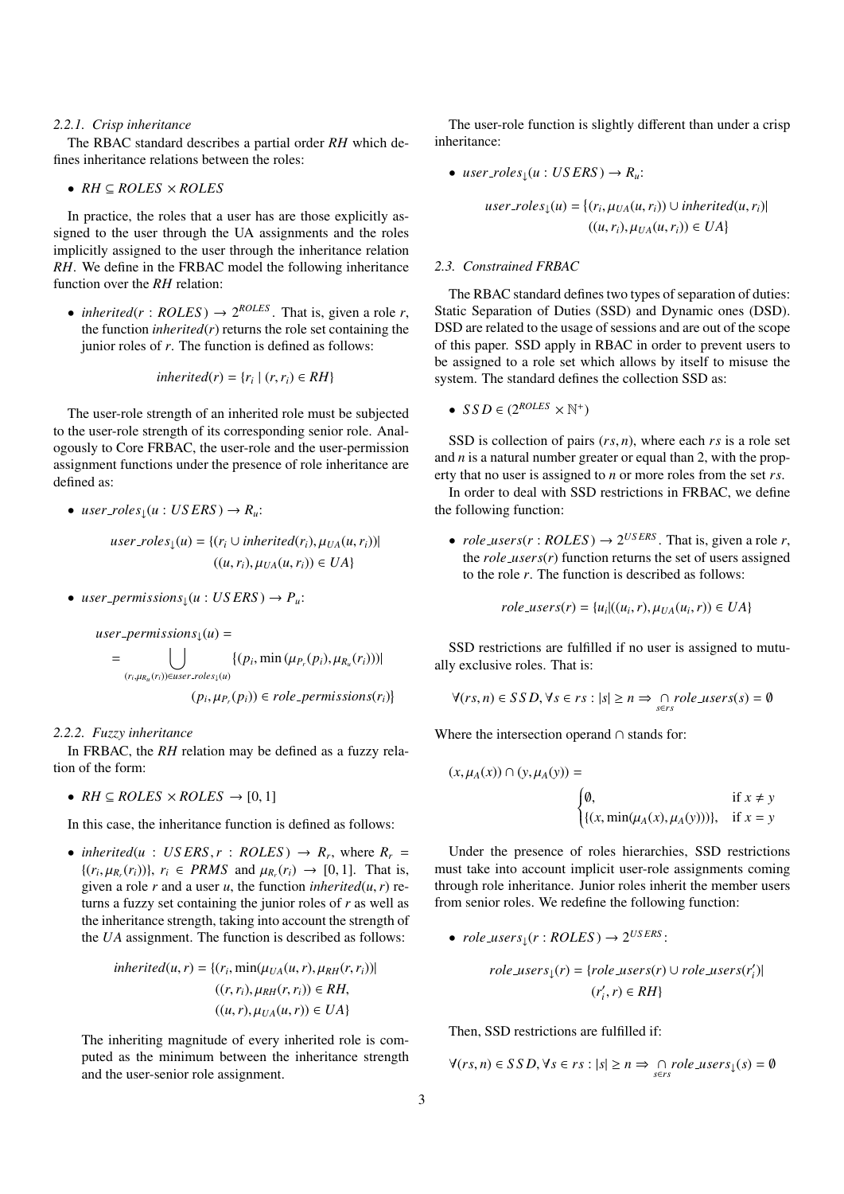#### *2.2.1. Crisp inheritance*

The RBAC standard describes a partial order *RH* which defines inheritance relations between the roles:

• 
$$
RH \subseteq ROLES \times ROLES
$$

In practice, the roles that a user has are those explicitly assigned to the user through the UA assignments and the roles implicitly assigned to the user through the inheritance relation *RH*. We define in the FRBAC model the following inheritance function over the *RH* relation:

• *inherited*( $r$  : *ROLES*)  $\rightarrow$  2<sup>*ROLES*</sup>. That is, given a role *r*, the function *inherited* $(r)$  returns the role set containing the junior roles of *r*. The function is defined as follows:

$$
inherited(r) = \{r_i \mid (r, r_i) \in RH\}
$$

The user-role strength of an inherited role must be subjected to the user-role strength of its corresponding senior role. Analogously to Core FRBAC, the user-role and the user-permission assignment functions under the presence of role inheritance are defined as:

•  $user\_roles_{\perp}(u:USERS) \rightarrow R_u$ :

$$
user\_roles_{\downarrow}(u) = \{(r_i \cup inherited(r_i), \mu_{UA}(u, r_i)) |
$$

$$
((u, r_i), \mu_{UA}(u, r_i)) \in UA\}
$$

• *user\_permissions*<sub> $\downarrow$ </sub> $(u : USERS) \rightarrow P_u$ :

$$
user\_permissions_{\downarrow}(u) =
$$
\n
$$
= \bigcup_{(r_i, \mu_{R_u}(r_i)) \in user\_roles_{\downarrow}(u)} \{ (p_i, \min(\mu_{P_r}(p_i), \mu_{R_u}(r_i))) | (p_i, \mu_{P_r}(p_i)) \in role\_permissions(r_i) \}
$$

#### *2.2.2. Fuzzy inheritance*

In FRBAC, the *RH* relation may be defined as a fuzzy relation of the form:

•  $RH \subseteq ROLES \times ROLES \rightarrow [0, 1]$ 

In this case, the inheritance function is defined as follows:

• *inherited*(*u* : *USERS*, *r* : *ROLES*)  $\rightarrow$  *R<sub>r</sub>*, where  $R_r =$ <br> $\{ (r, u_R(r)) \}$ ,  $r \in PRMS$  and  $u_R(r) \rightarrow [0, 1]$ . That is  $\{(r_i, \mu_{R_i}(r_i))\}, r_i \in PRMS \text{ and } \mu_{R_i}(r_i) \rightarrow [0, 1].$  That is, given a role r and a user u the function *inherited*(*u* r) regiven a role *r* and a user *u*, the function *inherited*( $u$ ,  $r$ ) returns a fuzzy set containing the junior roles of *r* as well as the inheritance strength, taking into account the strength of the *UA* assignment. The function is described as follows:

$$
inherited(u, r) = \{(r_i, \min(\mu_{UA}(u, r), \mu_{RH}(r, r_i)) |
$$

$$
((r, r_i), \mu_{RH}(r, r_i)) \in RH,
$$

$$
((u, r), \mu_{UA}(u, r)) \in UA\}
$$

The inheriting magnitude of every inherited role is computed as the minimum between the inheritance strength and the user-senior role assignment.

The user-role function is slightly different than under a crisp inheritance:

•  $user\_roles_{\downarrow}(u: USERS) \rightarrow R_u$ :

$$
user\_roles_{\downarrow}(u) = \{(r_i, \mu_{UA}(u, r_i)) \cup inherited(u, r_i)|
$$

$$
((u, r_i), \mu_{UA}(u, r_i)) \in UA\}
$$

#### *2.3. Constrained FRBAC*

The RBAC standard defines two types of separation of duties: Static Separation of Duties (SSD) and Dynamic ones (DSD). DSD are related to the usage of sessions and are out of the scope of this paper. SSD apply in RBAC in order to prevent users to be assigned to a role set which allows by itself to misuse the system. The standard defines the collection SSD as:

•  $SSD \in (2^{ROLES} \times \mathbb{N}^+)$ 

SSD is collection of pairs (*rs*, *<sup>n</sup>*), where each *rs* is a role set and *n* is a natural number greater or equal than 2, with the property that no user is assigned to *n* or more roles from the set *rs*.

In order to deal with SSD restrictions in FRBAC, we define the following function:

• *role\_users*( $r : ROLES$ )  $\rightarrow 2^{়^{USERS}}$ . That is, given a role *r*, the  $role\_users(r)$  function returns the set of users assigned to the role *r*. The function is described as follows:

$$
role\_users(r) = \{u_i | ((u_i, r), \mu_{UA}(u_i, r)) \in UA\}
$$

SSD restrictions are fulfilled if no user is assigned to mutually exclusive roles. That is:

$$
\forall (rs, n) \in SSD, \forall s \in rs : |s| \ge n \Rightarrow \bigcap_{s \in rs} role\_users(s) = \emptyset
$$

Where the intersection operand ∩ stands for:

$$
(x, \mu_A(x)) \cap (y, \mu_A(y)) =
$$
  

$$
\begin{cases} \emptyset, & \text{if } x \neq y \\ \{(x, \min(\mu_A(x), \mu_A(y)))\}, & \text{if } x = y \end{cases}
$$

Under the presence of roles hierarchies, SSD restrictions must take into account implicit user-role assignments coming through role inheritance. Junior roles inherit the member users from senior roles. We redefine the following function:

•  $role\_users_{\downarrow}(r:ROLES) \rightarrow 2^{USERS}$ :

$$
role\_users_{\downarrow}(r) = \{role\_users(r) \cup role\_users(r_i') |
$$

$$
(r_i', r) \in RH\}
$$

Then, SSD restrictions are fulfilled if:

$$
\forall (rs, n) \in SSD, \forall s \in rs : |s| \ge n \Rightarrow \bigcap_{s \in rs} role\_users_{\downarrow}(s) = \emptyset
$$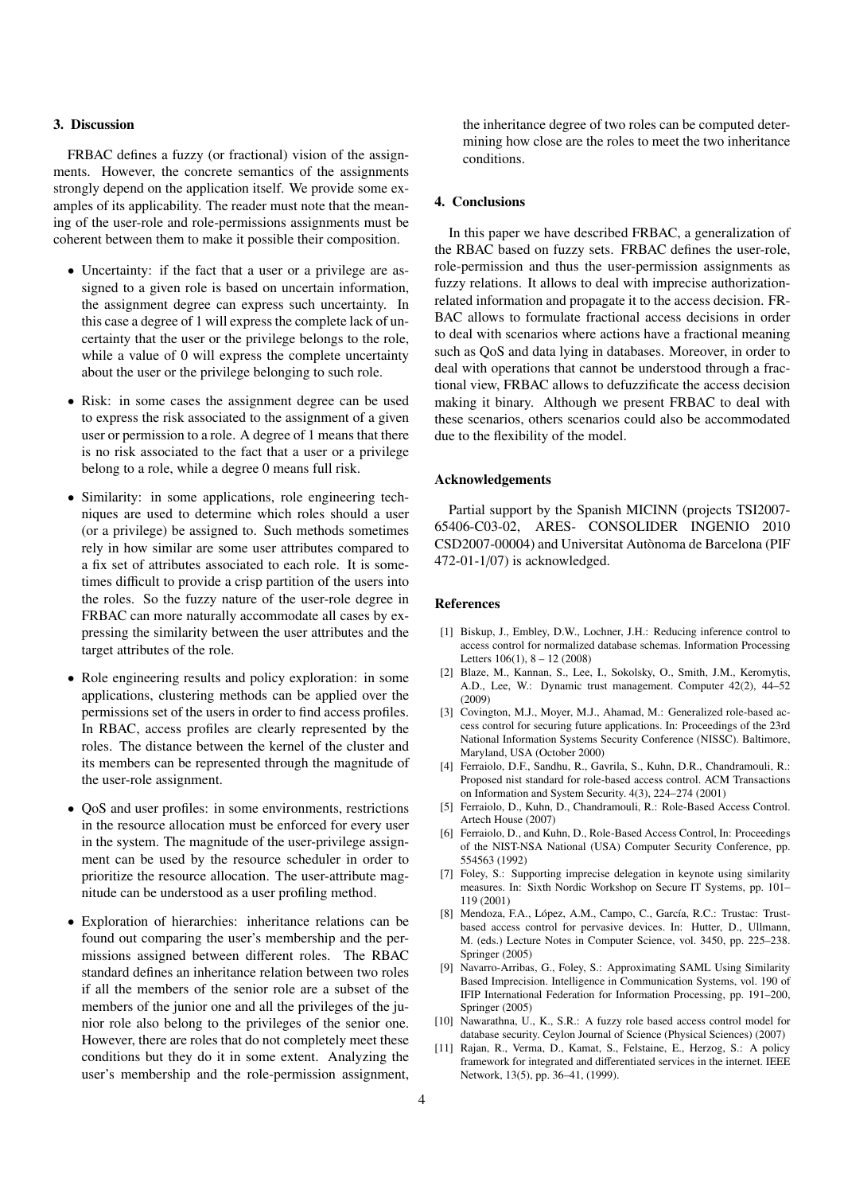# 3. Discussion

FRBAC defines a fuzzy (or fractional) vision of the assignments. However, the concrete semantics of the assignments strongly depend on the application itself. We provide some examples of its applicability. The reader must note that the meaning of the user-role and role-permissions assignments must be coherent between them to make it possible their composition.

- Uncertainty: if the fact that a user or a privilege are assigned to a given role is based on uncertain information, the assignment degree can express such uncertainty. In this case a degree of 1 will express the complete lack of uncertainty that the user or the privilege belongs to the role, while a value of 0 will express the complete uncertainty about the user or the privilege belonging to such role.
- Risk: in some cases the assignment degree can be used to express the risk associated to the assignment of a given user or permission to a role. A degree of 1 means that there is no risk associated to the fact that a user or a privilege belong to a role, while a degree 0 means full risk.
- Similarity: in some applications, role engineering techniques are used to determine which roles should a user (or a privilege) be assigned to. Such methods sometimes rely in how similar are some user attributes compared to a fix set of attributes associated to each role. It is sometimes difficult to provide a crisp partition of the users into the roles. So the fuzzy nature of the user-role degree in FRBAC can more naturally accommodate all cases by expressing the similarity between the user attributes and the target attributes of the role.
- Role engineering results and policy exploration: in some applications, clustering methods can be applied over the permissions set of the users in order to find access profiles. In RBAC, access profiles are clearly represented by the roles. The distance between the kernel of the cluster and its members can be represented through the magnitude of the user-role assignment.
- QoS and user profiles: in some environments, restrictions in the resource allocation must be enforced for every user in the system. The magnitude of the user-privilege assignment can be used by the resource scheduler in order to prioritize the resource allocation. The user-attribute magnitude can be understood as a user profiling method.
- Exploration of hierarchies: inheritance relations can be found out comparing the user's membership and the permissions assigned between different roles. The RBAC standard defines an inheritance relation between two roles if all the members of the senior role are a subset of the members of the junior one and all the privileges of the junior role also belong to the privileges of the senior one. However, there are roles that do not completely meet these conditions but they do it in some extent. Analyzing the user's membership and the role-permission assignment,

the inheritance degree of two roles can be computed determining how close are the roles to meet the two inheritance conditions.

# 4. Conclusions

In this paper we have described FRBAC, a generalization of the RBAC based on fuzzy sets. FRBAC defines the user-role, role-permission and thus the user-permission assignments as fuzzy relations. It allows to deal with imprecise authorizationrelated information and propagate it to the access decision. FR-BAC allows to formulate fractional access decisions in order to deal with scenarios where actions have a fractional meaning such as QoS and data lying in databases. Moreover, in order to deal with operations that cannot be understood through a fractional view, FRBAC allows to defuzzificate the access decision making it binary. Although we present FRBAC to deal with these scenarios, others scenarios could also be accommodated due to the flexibility of the model.

#### Acknowledgements

Partial support by the Spanish MICINN (projects TSI2007- 65406-C03-02, ARES- CONSOLIDER INGENIO 2010 CSD2007-00004) and Universitat Autònoma de Barcelona (PIF 472-01-1/07) is acknowledged.

## References

- [1] Biskup, J., Embley, D.W., Lochner, J.H.: Reducing inference control to access control for normalized database schemas. Information Processing Letters 106(1), 8 – 12 (2008)
- [2] Blaze, M., Kannan, S., Lee, I., Sokolsky, O., Smith, J.M., Keromytis, A.D., Lee, W.: Dynamic trust management. Computer 42(2), 44–52 (2009)
- [3] Covington, M.J., Moyer, M.J., Ahamad, M.: Generalized role-based access control for securing future applications. In: Proceedings of the 23rd National Information Systems Security Conference (NISSC). Baltimore, Maryland, USA (October 2000)
- [4] Ferraiolo, D.F., Sandhu, R., Gavrila, S., Kuhn, D.R., Chandramouli, R.: Proposed nist standard for role-based access control. ACM Transactions on Information and System Security. 4(3), 224–274 (2001)
- [5] Ferraiolo, D., Kuhn, D., Chandramouli, R.: Role-Based Access Control. Artech House (2007)
- [6] Ferraiolo, D., and Kuhn, D., Role-Based Access Control, In: Proceedings of the NIST-NSA National (USA) Computer Security Conference, pp. 554563 (1992)
- [7] Foley, S.: Supporting imprecise delegation in keynote using similarity measures. In: Sixth Nordic Workshop on Secure IT Systems, pp. 101– 119 (2001)
- [8] Mendoza, F.A., López, A.M., Campo, C., García, R.C.: Trustac: Trustbased access control for pervasive devices. In: Hutter, D., Ullmann, M. (eds.) Lecture Notes in Computer Science, vol. 3450, pp. 225–238. Springer (2005)
- [9] Navarro-Arribas, G., Foley, S.: Approximating SAML Using Similarity Based Imprecision. Intelligence in Communication Systems, vol. 190 of IFIP International Federation for Information Processing, pp. 191–200, Springer (2005)
- [10] Nawarathna, U., K., S.R.: A fuzzy role based access control model for database security. Ceylon Journal of Science (Physical Sciences) (2007)
- [11] Rajan, R., Verma, D., Kamat, S., Felstaine, E., Herzog, S.: A policy framework for integrated and differentiated services in the internet. IEEE Network, 13(5), pp. 36–41, (1999).